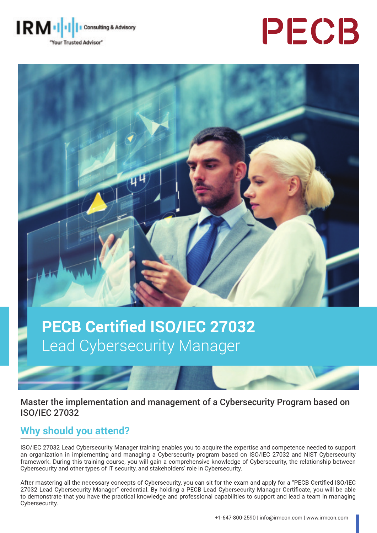





# **PECB Certified ISO/IEC 27032** Lead Cybersecurity Manager

Master the implementation and management of a Cybersecurity Program based on ISO/IEC 27032

# **Why should you attend?**

ISO/IEC 27032 Lead Cybersecurity Manager training enables you to acquire the expertise and competence needed to support an organization in implementing and managing a Cybersecurity program based on ISO/IEC 27032 and NIST Cybersecurity framework. During this training course, you will gain a comprehensive knowledge of Cybersecurity, the relationship between Cybersecurity and other types of IT security, and stakeholders' role in Cybersecurity.

After mastering all the necessary concepts of Cybersecurity, you can sit for the exam and apply for a "PECB Certified ISO/IEC 27032 Lead Cybersecurity Manager" credential. By holding a PECB Lead Cybersecurity Manager Certificate, you will be able to demonstrate that you have the practical knowledge and professional capabilities to support and lead a team in managing Cybersecurity.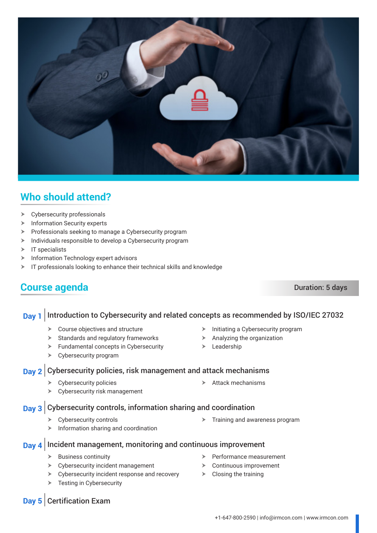

# **Who should attend?**

- $\triangleright$  Cybersecurity professionals
- $\blacktriangleright$  Information Security experts
- $\triangleright$  Professionals seeking to manage a Cybersecurity program
- $\blacktriangleright$  Individuals responsible to develop a Cybersecurity program
- $\triangleright$  IT specialists
- $\triangleright$  Information Technology expert advisors
- $\triangleright$  IT professionals looking to enhance their technical skills and knowledge

## **Course agenda** Duration: 5 days

#### **Day 1** Introduction to Cybersecurity and related concepts as recommended by ISO/IEC 27032

- $\triangleright$  Course objectives and structure
- $\triangleright$  Standards and regulatory frameworks
- $\blacktriangleright$  Fundamental concepts in Cybersecurity
- $\triangleright$  Cybersecurity program

#### **Day 2** Cybersecurity policies, risk management and attack mechanisms

- $\triangleright$  Cybersecurity policies
- $\blacktriangleright$  Cybersecurity risk management

### **Day 3** Cybersecurity controls, information sharing and coordination

- $\triangleright$  Cybersecurity controls
- $\triangleright$  Information sharing and coordination
- **Day 4** Incident management, monitoring and continuous improvement
	- $\triangleright$  Business continuity
	- $\triangleright$  Cybersecurity incident management
	- $\triangleright$  Cybersecurity incident response and recovery
	- $\triangleright$  Testing in Cybersecurity
- Performance measurement
- $\triangleright$  Continuous improvement
- $\triangleright$  Closing the training

### **Day 5** Certification Exam

- Initiating a Cybersecurity program
- $\triangleright$  Analyzing the organization
- $\blacktriangleright$  Leadership
- $\triangleright$  Attack mechanisms
	- $\triangleright$  Training and awareness program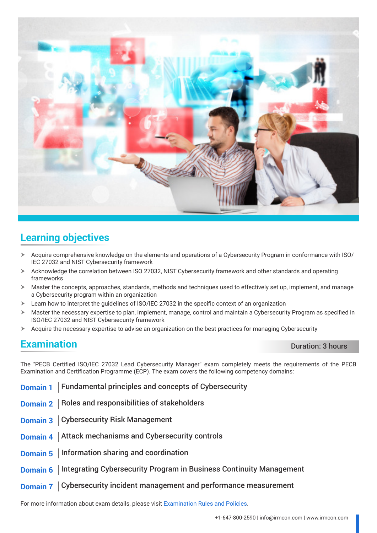

# **Learning objectives**

- h Acquire comprehensive knowledge on the elements and operations of a Cybersecurity Program in conformance with ISO/ IEC 27032 and NIST Cybersecurity framework
- > Acknowledge the correlation between ISO 27032, NIST Cybersecurity framework and other standards and operating frameworks
- $\triangleright$  Master the concepts, approaches, standards, methods and techniques used to effectively set up, implement, and manage a Cybersecurity program within an organization
- Learn how to interpret the guidelines of ISO/IEC 27032 in the specific context of an organization
- $\triangleright$  Master the necessary expertise to plan, implement, manage, control and maintain a Cybersecurity Program as specified in ISO/IEC 27032 and NIST Cybersecurity framework
- h Acquire the necessary expertise to advise an organization on the best practices for managing Cybersecurity

# **Examination** Duration **Duration:** 3 hours

The "PECB Certified ISO/IEC 27032 Lead Cybersecurity Manager" exam completely meets the requirements of the PECB Examination and Certification Programme (ECP). The exam covers the following competency domains:

- **Domain 1** Fundamental principles and concepts of Cybersecurity
- **Domain 2** | Roles and responsibilities of stakeholders
- **Domain 3** Cybersecurity Risk Management
- **Domain 4** Attack mechanisms and Cybersecurity controls
- **Domain 5** | Information sharing and coordination
- **Domain 6** | Integrating Cybersecurity Program in Business Continuity Management
- **Domain 7** Cybersecurity incident management and performance measurement

For more information about exam details, please visit [Examination Rules and Policies](https://pecb.com/en/examination-rules-and-policies).